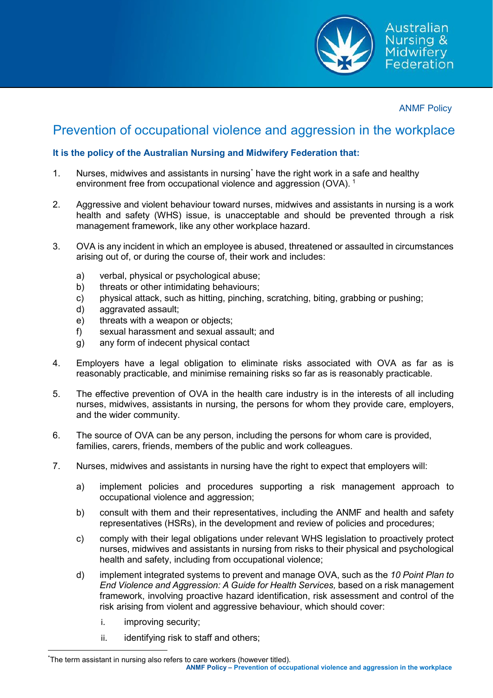

ANMF Policy

## Prevention of occupational violence and aggression in the workplace

## **It is the policy of the Australian Nursing and Midwifery Federation that:**

- 1. Nurses, midwives and assistants in nursing[\\*](#page-0-0) have the right work in a safe and healthy environment free from occupational violence and aggression (OVA).<sup>[1](#page-4-0)</sup>
- 2. Aggressive and violent behaviour toward nurses, midwives and assistants in nursing is a work health and safety (WHS) issue, is unacceptable and should be prevented through a risk management framework, like any other workplace hazard.
- 3. OVA is any incident in which an employee is abused, threatened or assaulted in circumstances arising out of, or during the course of, their work and includes:
	- a) verbal, physical or psychological abuse;
	- b) threats or other intimidating behaviours;
	- c) physical attack, such as hitting, pinching, scratching, biting, grabbing or pushing;
	- d) aggravated assault;
	- e) threats with a weapon or objects;
	- f) sexual harassment and sexual assault; and
	- g) any form of indecent physical contact
- 4. Employers have a legal obligation to eliminate risks associated with OVA as far as is reasonably practicable, and minimise remaining risks so far as is reasonably practicable.
- 5. The effective prevention of OVA in the health care industry is in the interests of all including nurses, midwives, assistants in nursing, the persons for whom they provide care, employers, and the wider community.
- 6. The source of OVA can be any person, including the persons for whom care is provided, families, carers, friends, members of the public and work colleagues.
- 7. Nurses, midwives and assistants in nursing have the right to expect that employers will:
	- a) implement policies and procedures supporting a risk management approach to occupational violence and aggression;
	- b) consult with them and their representatives, including the ANMF and health and safety representatives (HSRs), in the development and review of policies and procedures;
	- c) comply with their legal obligations under relevant WHS legislation to proactively protect nurses, midwives and assistants in nursing from risks to their physical and psychological health and safety, including from occupational violence;
	- d) implement integrated systems to prevent and manage OVA, such as the *10 Point Plan to End Violence and Aggression: A Guide for Health Services,* based on a risk management framework, involving proactive hazard identification, risk assessment and control of the risk arising from violent and aggressive behaviour, which should cover:
		- i. improving security;
		- ii. identifying risk to staff and others;

<span id="page-0-0"></span> <sup>\*</sup> The term assistant in nursing also refers to care workers (however titled).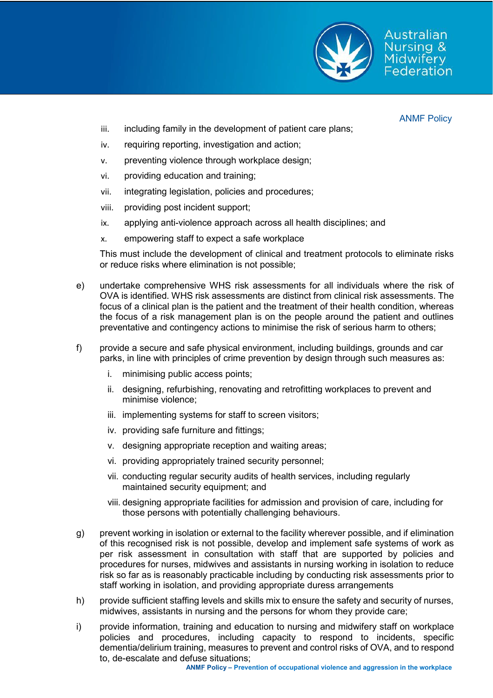

Australian Nursing & Midwiferv Federation

ANMF Policy

- iii. including family in the development of patient care plans;
- iv. requiring reporting, investigation and action;
- v. preventing violence through workplace design;
- vi. providing education and training;
- vii. integrating legislation, policies and procedures;
- viii. providing post incident support;
- ix. applying anti-violence approach across all health disciplines; and
- x. empowering staff to expect a safe workplace

This must include the development of clinical and treatment protocols to eliminate risks or reduce risks where elimination is not possible;

- e) undertake comprehensive WHS risk assessments for all individuals where the risk of OVA is identified. WHS risk assessments are distinct from clinical risk assessments. The focus of a clinical plan is the patient and the treatment of their health condition, whereas the focus of a risk management plan is on the people around the patient and outlines preventative and contingency actions to minimise the risk of serious harm to others;
- f) provide a secure and safe physical environment, including buildings, grounds and car parks, in line with principles of crime prevention by design through such measures as:
	- i. minimising public access points;
	- ii. designing, refurbishing, renovating and retrofitting workplaces to prevent and minimise violence;
	- iii. implementing systems for staff to screen visitors;
	- iv. providing safe furniture and fittings;
	- v. designing appropriate reception and waiting areas;
	- vi. providing appropriately trained security personnel;
	- vii. conducting regular security audits of health services, including regularly maintained security equipment; and
	- viii. designing appropriate facilities for admission and provision of care, including for those persons with potentially challenging behaviours.
- g) prevent working in isolation or external to the facility wherever possible, and if elimination of this recognised risk is not possible, develop and implement safe systems of work as per risk assessment in consultation with staff that are supported by policies and procedures for nurses, midwives and assistants in nursing working in isolation to reduce risk so far as is reasonably practicable including by conducting risk assessments prior to staff working in isolation, and providing appropriate duress arrangements
- h) provide sufficient staffing levels and skills mix to ensure the safety and security of nurses, midwives, assistants in nursing and the persons for whom they provide care;
- i) provide information, training and education to nursing and midwifery staff on workplace policies and procedures, including capacity to respond to incidents, specific dementia/delirium training, measures to prevent and control risks of OVA, and to respond to, de-escalate and defuse situations;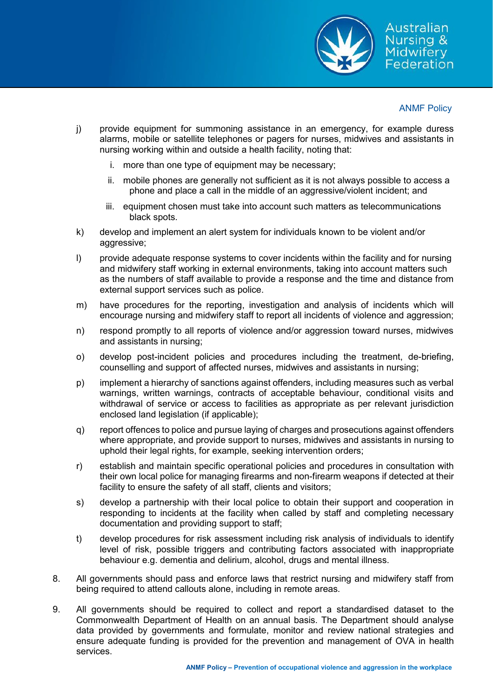

## ANMF Policy

- j) provide equipment for summoning assistance in an emergency, for example duress alarms, mobile or satellite telephones or pagers for nurses, midwives and assistants in nursing working within and outside a health facility, noting that:
	- i. more than one type of equipment may be necessary;
	- ii. mobile phones are generally not sufficient as it is not always possible to access a phone and place a call in the middle of an aggressive/violent incident; and
	- iii. equipment chosen must take into account such matters as telecommunications black spots.
- k) develop and implement an alert system for individuals known to be violent and/or aggressive;
- l) provide adequate response systems to cover incidents within the facility and for nursing and midwifery staff working in external environments, taking into account matters such as the numbers of staff available to provide a response and the time and distance from external support services such as police.
- m) have procedures for the reporting, investigation and analysis of incidents which will encourage nursing and midwifery staff to report all incidents of violence and aggression;
- n) respond promptly to all reports of violence and/or aggression toward nurses, midwives and assistants in nursing;
- o) develop post-incident policies and procedures including the treatment, de-briefing, counselling and support of affected nurses, midwives and assistants in nursing;
- p) implement a hierarchy of sanctions against offenders, including measures such as verbal warnings, written warnings, contracts of acceptable behaviour, conditional visits and withdrawal of service or access to facilities as appropriate as per relevant jurisdiction enclosed land legislation (if applicable);
- q) report offences to police and pursue laying of charges and prosecutions against offenders where appropriate, and provide support to nurses, midwives and assistants in nursing to uphold their legal rights, for example, seeking intervention orders;
- r) establish and maintain specific operational policies and procedures in consultation with their own local police for managing firearms and non-firearm weapons if detected at their facility to ensure the safety of all staff, clients and visitors;
- s) develop a partnership with their local police to obtain their support and cooperation in responding to incidents at the facility when called by staff and completing necessary documentation and providing support to staff;
- t) develop procedures for risk assessment including risk analysis of individuals to identify level of risk, possible triggers and contributing factors associated with inappropriate behaviour e.g. dementia and delirium, alcohol, drugs and mental illness.
- 8. All governments should pass and enforce laws that restrict nursing and midwifery staff from being required to attend callouts alone, including in remote areas.
- 9. All governments should be required to collect and report a standardised dataset to the Commonwealth Department of Health on an annual basis. The Department should analyse data provided by governments and formulate, monitor and review national strategies and ensure adequate funding is provided for the prevention and management of OVA in health services.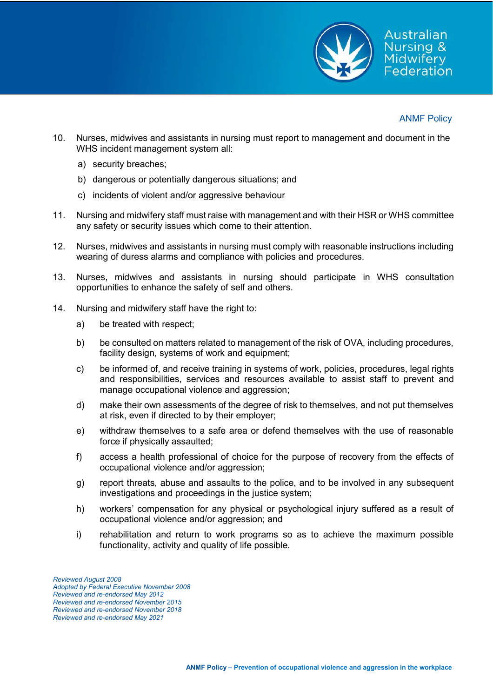

Australian Nursina & Midwiferv Federation

- 10. Nurses, midwives and assistants in nursing must report to management and document in the WHS incident management system all:
	- a) security breaches;
	- b) dangerous or potentially dangerous situations; and
	- c) incidents of violent and/or aggressive behaviour
- 11. Nursing and midwifery staff must raise with management and with their HSR or WHS committee any safety or security issues which come to their attention.
- 12. Nurses, midwives and assistants in nursing must comply with reasonable instructions including wearing of duress alarms and compliance with policies and procedures.
- 13. Nurses, midwives and assistants in nursing should participate in WHS consultation opportunities to enhance the safety of self and others.
- 14. Nursing and midwifery staff have the right to:
	- a) be treated with respect;
	- b) be consulted on matters related to management of the risk of OVA, including procedures, facility design, systems of work and equipment;
	- c) be informed of, and receive training in systems of work, policies, procedures, legal rights and responsibilities, services and resources available to assist staff to prevent and manage occupational violence and aggression;
	- d) make their own assessments of the degree of risk to themselves, and not put themselves at risk, even if directed to by their employer;
	- e) withdraw themselves to a safe area or defend themselves with the use of reasonable force if physically assaulted;
	- f) access a health professional of choice for the purpose of recovery from the effects of occupational violence and/or aggression;
	- g) report threats, abuse and assaults to the police, and to be involved in any subsequent investigations and proceedings in the justice system;
	- h) workers' compensation for any physical or psychological injury suffered as a result of occupational violence and/or aggression; and
	- i) rehabilitation and return to work programs so as to achieve the maximum possible functionality, activity and quality of life possible.

*Reviewed August 2008 Adopted by Federal Executive November 2008 Reviewed and re-endorsed May 2012 Reviewed and re-endorsed November 2015 Reviewed and re-endorsed November 2018 Reviewed and re-endorsed May 2021*